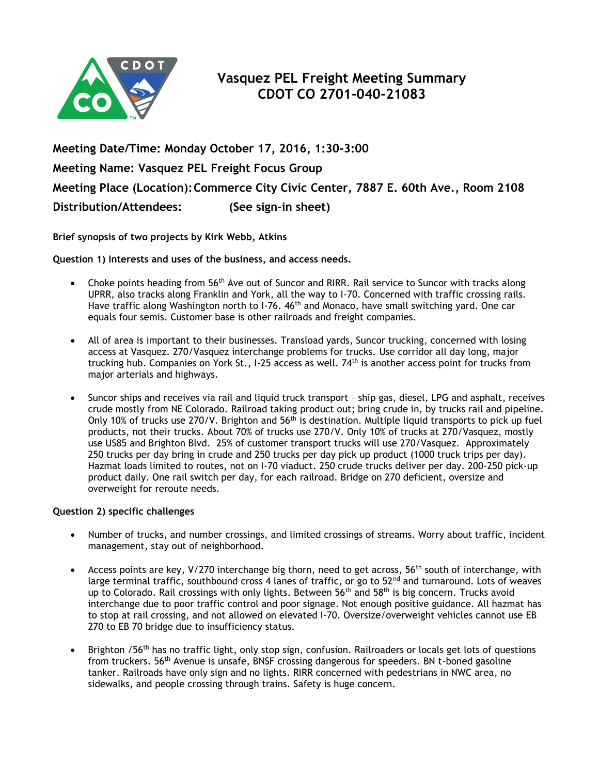

**Meeting Date/Time: Monday October 17, 2016, 1:30-3:00 Meeting Name: Vasquez PEL Freight Focus Group Meeting Place (Location):Commerce City Civic Center, 7887 E. 60th Ave., Room 2108 Distribution/Attendees: (See sign-in sheet)**

**Brief synopsis of two projects by Kirk Webb, Atkins**

**Question 1) Interests and uses of the business, and access needs.**

- Choke points heading from  $56<sup>th</sup>$  Ave out of Suncor and RIRR. Rail service to Suncor with tracks along UPRR, also tracks along Franklin and York, all the way to I-70. Concerned with traffic crossing rails. Have traffic along Washington north to I-76. 46<sup>th</sup> and Monaco, have small switching yard. One car equals four semis. Customer base is other railroads and freight companies.
- All of area is important to their businesses. Transload yards, Suncor trucking, concerned with losing access at Vasquez. 270/Vasquez interchange problems for trucks. Use corridor all day long, major trucking hub. Companies on York St., I-25 access as well. 74<sup>th</sup> is another access point for trucks from major arterials and highways.
- Suncor ships and receives via rail and liquid truck transport ship gas, diesel, LPG and asphalt, receives crude mostly from NE Colorado. Railroad taking product out; bring crude in, by trucks rail and pipeline. Only 10% of trucks use 270/V. Brighton and 56<sup>th</sup> is destination. Multiple liquid transports to pick up fuel products, not their trucks. About 70% of trucks use 270/V. Only 10% of trucks at 270/Vasquez, mostly use US85 and Brighton Blvd. 25% of customer transport trucks will use 270/Vasquez. Approximately 250 trucks per day bring in crude and 250 trucks per day pick up product (1000 truck trips per day). Hazmat loads limited to routes, not on I-70 viaduct. 250 crude trucks deliver per day. 200-250 pick-up product daily. One rail switch per day, for each railroad. Bridge on 270 deficient, oversize and overweight for reroute needs.

## **Question 2) specific challenges**

- Number of trucks, and number crossings, and limited crossings of streams. Worry about traffic, incident management, stay out of neighborhood.
- Access points are key, V/270 interchange big thorn, need to get across, 56<sup>th</sup> south of interchange, with large terminal traffic, southbound cross 4 lanes of traffic, or go to  $52^{nd}$  and turnaround. Lots of weaves up to Colorado. Rail crossings with only lights. Between 56<sup>th</sup> and 58<sup>th</sup> is big concern. Trucks avoid interchange due to poor traffic control and poor signage. Not enough positive guidance. All hazmat has to stop at rail crossing, and not allowed on elevated I-70. Oversize/overweight vehicles cannot use EB 270 to EB 70 bridge due to insufficiency status.
- Brighton /56<sup>th</sup> has no traffic light, only stop sign, confusion. Railroaders or locals get lots of questions from truckers.  $56<sup>th</sup>$  Avenue is unsafe, BNSF crossing dangerous for speeders. BN t-boned gasoline tanker. Railroads have only sign and no lights. RIRR concerned with pedestrians in NWC area, no sidewalks, and people crossing through trains. Safety is huge concern.